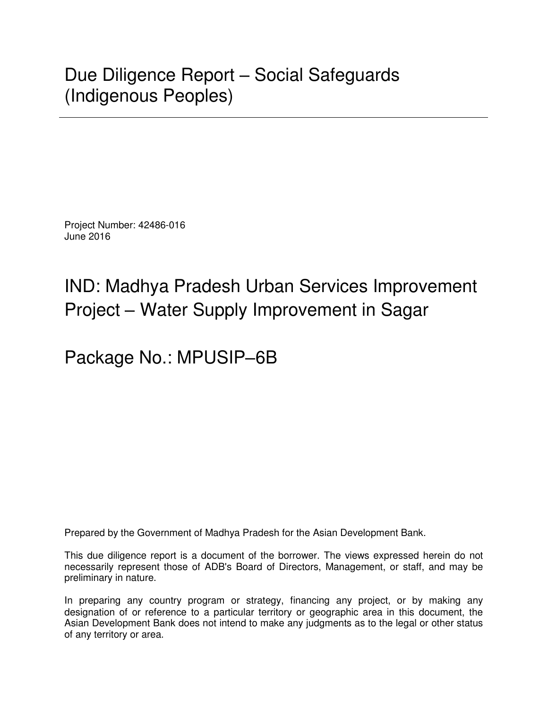Project Number: 42486-016 June 2016

# IND: Madhya Pradesh Urban Services Improvement Project – Water Supply Improvement in Sagar

Package No.: MPUSIP–6B

Prepared by the Government of Madhya Pradesh for the Asian Development Bank.

This due diligence report is a document of the borrower. The views expressed herein do not necessarily represent those of ADB's Board of Directors, Management, or staff, and may be preliminary in nature.

In preparing any country program or strategy, financing any project, or by making any designation of or reference to a particular territory or geographic area in this document, the Asian Development Bank does not intend to make any judgments as to the legal or other status of any territory or area.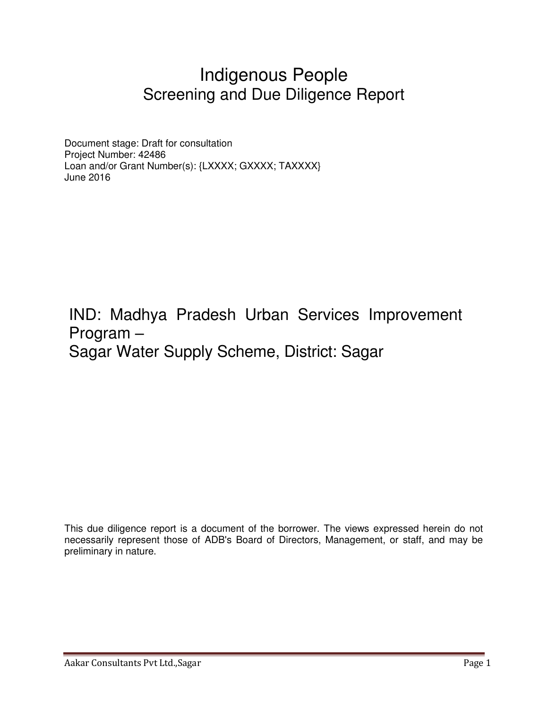## Indigenous People Screening and Due Diligence Report

Document stage: Draft for consultation Project Number: 42486 Loan and/or Grant Number(s): {LXXXX; GXXXX; TAXXXX} June 2016

IND: Madhya Pradesh Urban Services Improvement Program – Sagar Water Supply Scheme, District: Sagar

This due diligence report is a document of the borrower. The views expressed herein do not necessarily represent those of ADB's Board of Directors, Management, or staff, and may be preliminary in nature.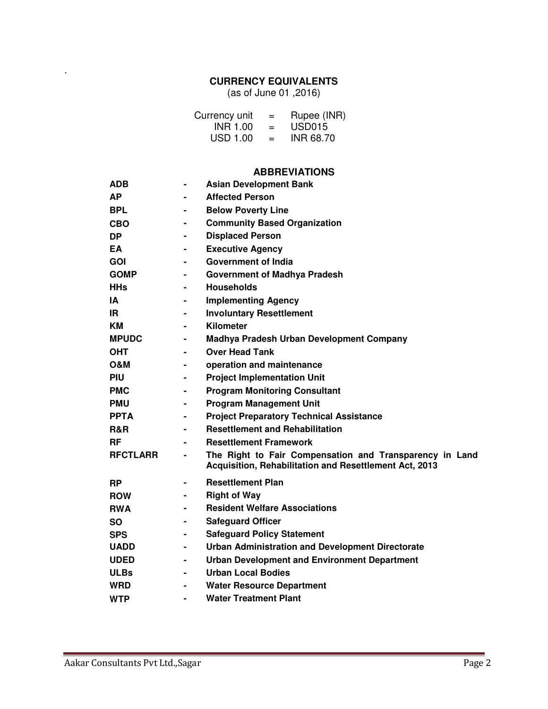## **CURRENCY EQUIVALENTS**

(as of June 01 ,2016)

| Currency unit   | $=$ | Rupee (INR)        |
|-----------------|-----|--------------------|
| INR 1.00        | $=$ | USD <sub>015</sub> |
| <b>USD 1.00</b> | $=$ | <b>INR 68.70</b>   |

#### **ABBREVIATIONS**

| <b>ADB</b>      | $\blacksquare$ | <b>Asian Development Bank</b>                                                                                     |
|-----------------|----------------|-------------------------------------------------------------------------------------------------------------------|
| AΡ              | $\blacksquare$ | <b>Affected Person</b>                                                                                            |
| <b>BPL</b>      | $\blacksquare$ | <b>Below Poverty Line</b>                                                                                         |
| CBO             | $\blacksquare$ | <b>Community Based Organization</b>                                                                               |
| <b>DP</b>       | $\blacksquare$ | <b>Displaced Person</b>                                                                                           |
| EA              | $\blacksquare$ | <b>Executive Agency</b>                                                                                           |
| <b>GOI</b>      |                | <b>Government of India</b>                                                                                        |
| <b>GOMP</b>     |                | <b>Government of Madhya Pradesh</b>                                                                               |
| <b>HHs</b>      | $\blacksquare$ | <b>Households</b>                                                                                                 |
| ΙA              | $\blacksquare$ | <b>Implementing Agency</b>                                                                                        |
| IR.             | $\blacksquare$ | <b>Involuntary Resettlement</b>                                                                                   |
| KМ              | $\blacksquare$ | Kilometer                                                                                                         |
| <b>MPUDC</b>    | ۰              | Madhya Pradesh Urban Development Company                                                                          |
| ОНТ             | $\blacksquare$ | <b>Over Head Tank</b>                                                                                             |
| <b>O&amp;M</b>  | -              | operation and maintenance                                                                                         |
| <b>PIU</b>      | $\blacksquare$ | <b>Project Implementation Unit</b>                                                                                |
| <b>PMC</b>      | $\blacksquare$ | <b>Program Monitoring Consultant</b>                                                                              |
| <b>PMU</b>      | $\blacksquare$ | <b>Program Management Unit</b>                                                                                    |
| <b>PPTA</b>     | $\blacksquare$ | <b>Project Preparatory Technical Assistance</b>                                                                   |
| R&R             | $\blacksquare$ | <b>Resettlement and Rehabilitation</b>                                                                            |
| RF              | $\blacksquare$ | <b>Resettlement Framework</b>                                                                                     |
| <b>RFCTLARR</b> | $\blacksquare$ | The Right to Fair Compensation and Transparency in Land<br>Acquisition, Rehabilitation and Resettlement Act, 2013 |
| <b>RP</b>       | $\blacksquare$ | <b>Resettlement Plan</b>                                                                                          |
| <b>ROW</b>      |                | <b>Right of Way</b>                                                                                               |
| <b>RWA</b>      | $\blacksquare$ | <b>Resident Welfare Associations</b>                                                                              |
| <b>SO</b>       | $\blacksquare$ | <b>Safeguard Officer</b>                                                                                          |
| <b>SPS</b>      |                | <b>Safeguard Policy Statement</b>                                                                                 |
| <b>UADD</b>     |                | <b>Urban Administration and Development Directorate</b>                                                           |
| <b>UDED</b>     | $\blacksquare$ | <b>Urban Development and Environment Department</b>                                                               |
| <b>ULBs</b>     | $\blacksquare$ | <b>Urban Local Bodies</b>                                                                                         |
| <b>WRD</b>      | $\blacksquare$ | <b>Water Resource Department</b>                                                                                  |
| <b>WTP</b>      |                | <b>Water Treatment Plant</b>                                                                                      |

.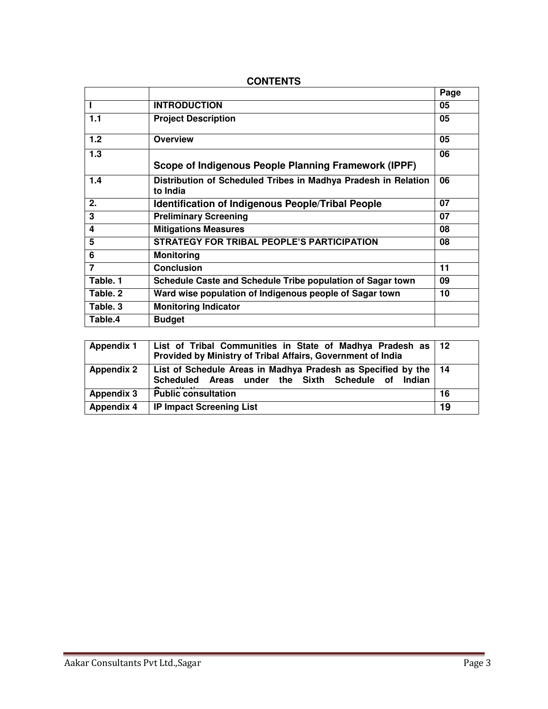|                |                                                                            | Page |
|----------------|----------------------------------------------------------------------------|------|
| L              | <b>INTRODUCTION</b>                                                        | 05   |
| 1.1            | <b>Project Description</b>                                                 | 05   |
| 1.2            | <b>Overview</b>                                                            | 05   |
| 1.3            | Scope of Indigenous People Planning Framework (IPPF)                       | 06   |
| 1.4            | Distribution of Scheduled Tribes in Madhya Pradesh in Relation<br>to India | 06   |
| 2.             | <b>Identification of Indigenous People/Tribal People</b>                   | 07   |
| 3              | <b>Preliminary Screening</b>                                               | 07   |
| 4              | <b>Mitigations Measures</b>                                                | 08   |
| 5              | STRATEGY FOR TRIBAL PEOPLE'S PARTICIPATION                                 | 08   |
| 6              | <b>Monitoring</b>                                                          |      |
| $\overline{7}$ | <b>Conclusion</b>                                                          | 11   |
| Table. 1       | Schedule Caste and Schedule Tribe population of Sagar town                 | 09   |
| Table. 2       | Ward wise population of Indigenous people of Sagar town                    | 10   |
| Table. 3       | <b>Monitoring Indicator</b>                                                |      |
| Table.4        | <b>Budget</b>                                                              |      |

#### **CONTENTS**

| <b>Appendix 1</b> | List of Tribal Communities in State of Madhya Pradesh as   12<br>Provided by Ministry of Tribal Affairs, Government of India |    |
|-------------------|------------------------------------------------------------------------------------------------------------------------------|----|
| <b>Appendix 2</b> | List of Schedule Areas in Madhya Pradesh as Specified by the   14<br>Scheduled Areas under the Sixth Schedule of Indian      |    |
| <b>Appendix 3</b> | <b>Public consultation</b>                                                                                                   | 16 |
| <b>Appendix 4</b> | <b>IP Impact Screening List</b>                                                                                              | 19 |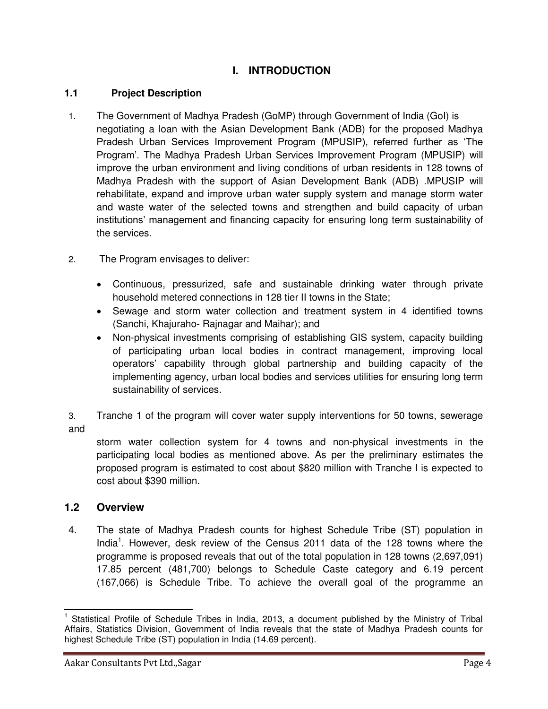### **I. INTRODUCTION**

#### **1.1 Project Description**

- 1. The Government of Madhya Pradesh (GoMP) through Government of India (GoI) is negotiating a loan with the Asian Development Bank (ADB) for the proposed Madhya Pradesh Urban Services Improvement Program (MPUSIP), referred further as 'The Program'. The Madhya Pradesh Urban Services Improvement Program (MPUSIP) will improve the urban environment and living conditions of urban residents in 128 towns of Madhya Pradesh with the support of Asian Development Bank (ADB) .MPUSIP will rehabilitate, expand and improve urban water supply system and manage storm water and waste water of the selected towns and strengthen and build capacity of urban institutions' management and financing capacity for ensuring long term sustainability of the services.
- 2. The Program envisages to deliver:
	- Continuous, pressurized, safe and sustainable drinking water through private household metered connections in 128 tier II towns in the State;
	- Sewage and storm water collection and treatment system in 4 identified towns (Sanchi, Khajuraho- Rajnagar and Maihar); and
	- Non-physical investments comprising of establishing GIS system, capacity building of participating urban local bodies in contract management, improving local operators' capability through global partnership and building capacity of the implementing agency, urban local bodies and services utilities for ensuring long term sustainability of services.

3. Tranche 1 of the program will cover water supply interventions for 50 towns, sewerage and

storm water collection system for 4 towns and non-physical investments in the participating local bodies as mentioned above. As per the preliminary estimates the proposed program is estimated to cost about \$820 million with Tranche I is expected to cost about \$390 million.

#### **1.2 Overview**

4. The state of Madhya Pradesh counts for highest Schedule Tribe (ST) population in India<sup>1</sup>. However, desk review of the Census 2011 data of the 128 towns where the programme is proposed reveals that out of the total population in 128 towns (2,697,091) 17.85 percent (481,700) belongs to Schedule Caste category and 6.19 percent (167,066) is Schedule Tribe. To achieve the overall goal of the programme an

 $\overline{a}$ 1 Statistical Profile of Schedule Tribes in India, 2013, a document published by the Ministry of Tribal Affairs, Statistics Division, Government of India reveals that the state of Madhya Pradesh counts for highest Schedule Tribe (ST) population in India (14.69 percent).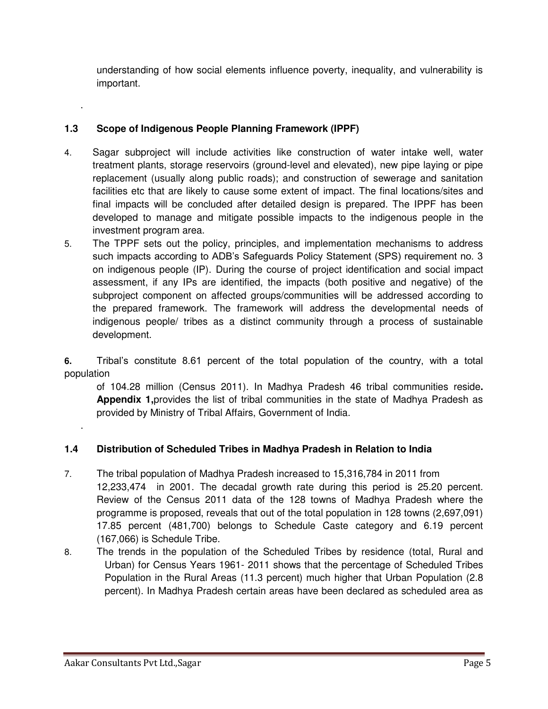understanding of how social elements influence poverty, inequality, and vulnerability is important.

### **1.3 Scope of Indigenous People Planning Framework (IPPF)**

- 4. Sagar subproject will include activities like construction of water intake well, water treatment plants, storage reservoirs (ground-level and elevated), new pipe laying or pipe replacement (usually along public roads); and construction of sewerage and sanitation facilities etc that are likely to cause some extent of impact. The final locations/sites and final impacts will be concluded after detailed design is prepared. The IPPF has been developed to manage and mitigate possible impacts to the indigenous people in the investment program area.
- 5. The TPPF sets out the policy, principles, and implementation mechanisms to address such impacts according to ADB's Safeguards Policy Statement (SPS) requirement no. 3 on indigenous people (IP). During the course of project identification and social impact assessment, if any IPs are identified, the impacts (both positive and negative) of the subproject component on affected groups/communities will be addressed according to the prepared framework. The framework will address the developmental needs of indigenous people/ tribes as a distinct community through a process of sustainable development.

**6.** Tribal's constitute 8.61 percent of the total population of the country, with a total population

of 104.28 million (Census 2011). In Madhya Pradesh 46 tribal communities reside**. Appendix 1,**provides the list of tribal communities in the state of Madhya Pradesh as provided by Ministry of Tribal Affairs, Government of India.

## .

.

## **1.4 Distribution of Scheduled Tribes in Madhya Pradesh in Relation to India**

- 7. The tribal population of Madhya Pradesh increased to 15,316,784 in 2011 from 12,233,474 in 2001. The decadal growth rate during this period is 25.20 percent. Review of the Census 2011 data of the 128 towns of Madhya Pradesh where the programme is proposed, reveals that out of the total population in 128 towns (2,697,091) 17.85 percent (481,700) belongs to Schedule Caste category and 6.19 percent (167,066) is Schedule Tribe.
- 8. The trends in the population of the Scheduled Tribes by residence (total, Rural and Urban) for Census Years 1961- 2011 shows that the percentage of Scheduled Tribes Population in the Rural Areas (11.3 percent) much higher that Urban Population (2.8 percent). In Madhya Pradesh certain areas have been declared as scheduled area as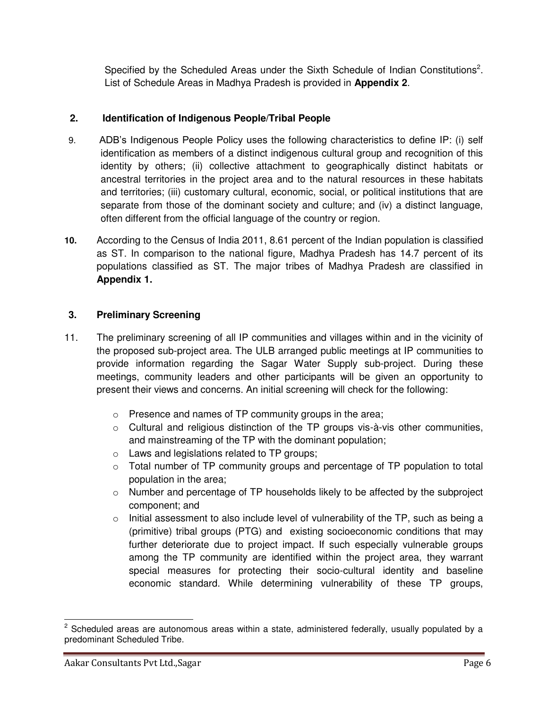Specified by the Scheduled Areas under the Sixth Schedule of Indian Constitutions<sup>2</sup>. List of Schedule Areas in Madhya Pradesh is provided in **Appendix 2**.

#### **2. Identification of Indigenous People/Tribal People**

- 9. ADB's Indigenous People Policy uses the following characteristics to define IP: (i) self identification as members of a distinct indigenous cultural group and recognition of this identity by others; (ii) collective attachment to geographically distinct habitats or ancestral territories in the project area and to the natural resources in these habitats and territories; (iii) customary cultural, economic, social, or political institutions that are separate from those of the dominant society and culture; and (iv) a distinct language, often different from the official language of the country or region.
- **10.** According to the Census of India 2011, 8.61 percent of the Indian population is classified as ST. In comparison to the national figure, Madhya Pradesh has 14.7 percent of its populations classified as ST. The major tribes of Madhya Pradesh are classified in **Appendix 1.**

#### **3. Preliminary Screening**

- 11. The preliminary screening of all IP communities and villages within and in the vicinity of the proposed sub-project area. The ULB arranged public meetings at IP communities to provide information regarding the Sagar Water Supply sub-project. During these meetings, community leaders and other participants will be given an opportunity to present their views and concerns. An initial screening will check for the following:
	- o Presence and names of TP community groups in the area;
	- $\circ$  Cultural and religious distinction of the TP groups vis-à-vis other communities, and mainstreaming of the TP with the dominant population;
	- o Laws and legislations related to TP groups;
	- o Total number of TP community groups and percentage of TP population to total population in the area;
	- o Number and percentage of TP households likely to be affected by the subproject component; and
	- $\circ$  Initial assessment to also include level of vulnerability of the TP, such as being a (primitive) tribal groups (PTG) and existing socioeconomic conditions that may further deteriorate due to project impact. If such especially vulnerable groups among the TP community are identified within the project area, they warrant special measures for protecting their socio-cultural identity and baseline economic standard. While determining vulnerability of these TP groups,

<sup>&</sup>lt;u>edd</u><br><sup>2</sup> Scheduled areas are autonomous areas within a state, administered federally, usually populated by a predominant Scheduled Tribe.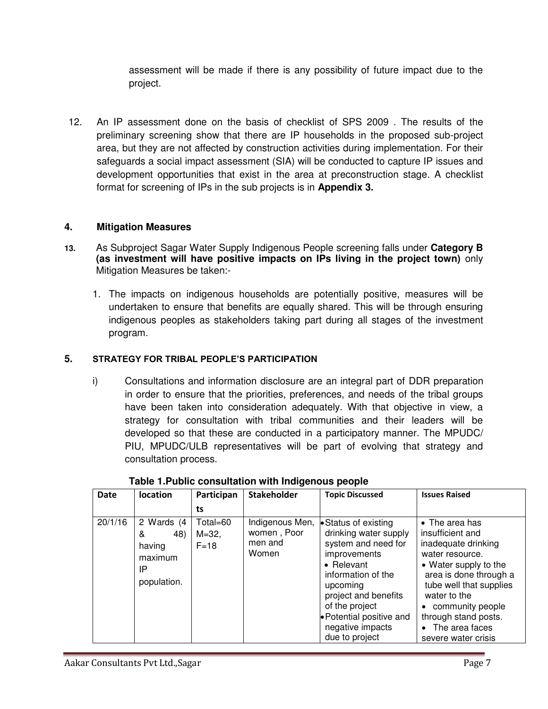assessment will be made if there is any possibility of future impact due to the project.

12. An IP assessment done on the basis of checklist of SPS 2009 . The results of the preliminary screening show that there are IP households in the proposed sub-project area, but they are not affected by construction activities during implementation. For their safeguards a social impact assessment (SIA) will be conducted to capture IP issues and development opportunities that exist in the area at preconstruction stage. A checklist format for screening of IPs in the sub projects is in **Appendix 3.** 

#### **4. Mitigation Measures**

- **13.** As Subproject Sagar Water Supply Indigenous People screening falls under **Category B (as investment will have positive impacts on IPs living in the project town)** only Mitigation Measures be taken:-
	- 1. The impacts on indigenous households are potentially positive, measures will be undertaken to ensure that benefits are equally shared. This will be through ensuring indigenous peoples as stakeholders taking part during all stages of the investment program.

#### **5. STRATEGY FOR TRIBAL PEOPLE'S PARTICIPATION**

i) Consultations and information disclosure are an integral part of DDR preparation in order to ensure that the priorities, preferences, and needs of the tribal groups have been taken into consideration adequately. With that objective in view, a strategy for consultation with tribal communities and their leaders will be developed so that these are conducted in a participatory manner. The MPUDC/ PIU, MPUDC/ULB representatives will be part of evolving that strategy and consultation process.

| <b>Date</b> | <b>location</b>                                                  | Participan                       | Stakeholder                                        | <b>Topic Discussed</b>                                                                                                                                                                                                                           | <b>Issues Raised</b>                                                                                                                                                                                                                                                        |
|-------------|------------------------------------------------------------------|----------------------------------|----------------------------------------------------|--------------------------------------------------------------------------------------------------------------------------------------------------------------------------------------------------------------------------------------------------|-----------------------------------------------------------------------------------------------------------------------------------------------------------------------------------------------------------------------------------------------------------------------------|
|             |                                                                  | ts                               |                                                    |                                                                                                                                                                                                                                                  |                                                                                                                                                                                                                                                                             |
| 20/1/16     | 2 Wards (4<br>48)<br>&<br>having<br>maximum<br>IP<br>population. | Total=60<br>$M = 32$ ,<br>$F=18$ | Indigenous Men,<br>women, Poor<br>men and<br>Women | • Status of existing<br>drinking water supply<br>system and need for<br>improvements<br>• Relevant<br>information of the<br>upcoming<br>project and benefits<br>of the project<br>• Potential positive and<br>negative impacts<br>due to project | $\bullet$ The area has<br>insufficient and<br>inadequate drinking<br>water resource.<br>• Water supply to the<br>area is done through a<br>tube well that supplies<br>water to the<br>• community people<br>through stand posts.<br>• The area faces<br>severe water crisis |

#### **Table 1.Public consultation with Indigenous people**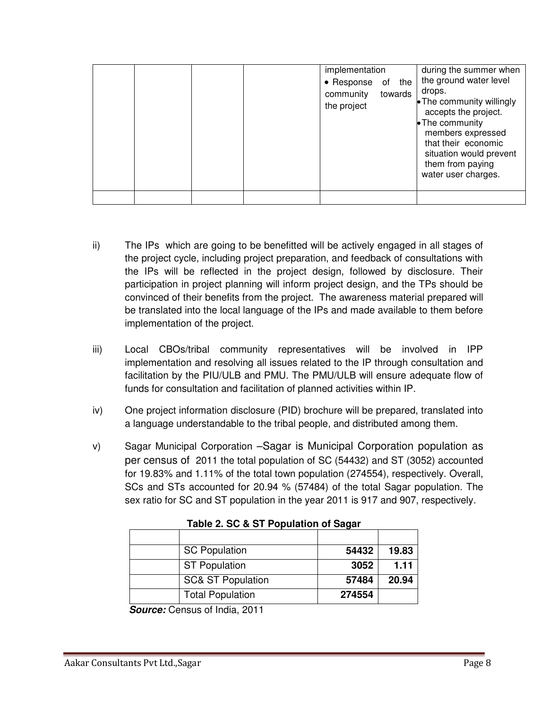|  |  | implementation<br>· Response of the<br>community<br>the project | towards | during the summer when<br>the ground water level<br>drops.<br>• The community willingly<br>accepts the project.<br>• The community<br>members expressed<br>that their economic<br>situation would prevent<br>them from paying<br>water user charges. |
|--|--|-----------------------------------------------------------------|---------|------------------------------------------------------------------------------------------------------------------------------------------------------------------------------------------------------------------------------------------------------|
|  |  |                                                                 |         |                                                                                                                                                                                                                                                      |

- ii) The IPs which are going to be benefitted will be actively engaged in all stages of the project cycle, including project preparation, and feedback of consultations with the IPs will be reflected in the project design, followed by disclosure. Their participation in project planning will inform project design, and the TPs should be convinced of their benefits from the project. The awareness material prepared will be translated into the local language of the IPs and made available to them before implementation of the project.
- iii) Local CBOs/tribal community representatives will be involved in IPP implementation and resolving all issues related to the IP through consultation and facilitation by the PIU/ULB and PMU. The PMU/ULB will ensure adequate flow of funds for consultation and facilitation of planned activities within IP.
- iv) One project information disclosure (PID) brochure will be prepared, translated into a language understandable to the tribal people, and distributed among them.
- v) Sagar Municipal Corporation –Sagar is Municipal Corporation population as per census of 2011 the total population of SC (54432) and ST (3052) accounted for 19.83% and 1.11% of the total town population (274554), respectively. Overall, SCs and STs accounted for 20.94 % (57484) of the total Sagar population. The sex ratio for SC and ST population in the year 2011 is 917 and 907, respectively.

| Table 2. 50 & 51 Februarion of Sagar |        |       |  |  |  |
|--------------------------------------|--------|-------|--|--|--|
|                                      |        |       |  |  |  |
| <b>SC Population</b>                 | 54432  | 19.83 |  |  |  |
| <b>ST Population</b>                 | 3052   | 1.11  |  |  |  |
| <b>SC&amp; ST Population</b>         | 57484  | 20.94 |  |  |  |
| <b>Total Population</b>              | 274554 |       |  |  |  |

| Table 2. SC & ST Population of Sagar |
|--------------------------------------|
|--------------------------------------|

*Source:* Census of India, 2011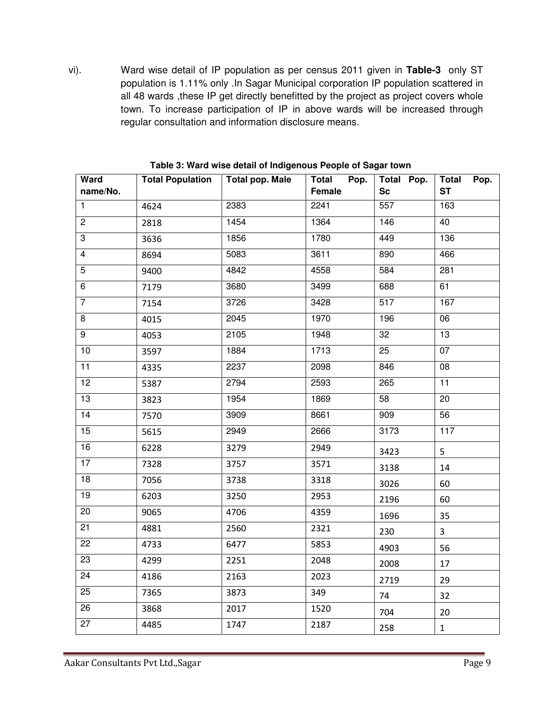vi). Ward wise detail of IP population as per census 2011 given in **Table-3** only ST population is 1.11% only .In Sagar Municipal corporation IP population scattered in all 48 wards ,these IP get directly benefitted by the project as project covers whole town. To increase participation of IP in above wards will be increased through regular consultation and information disclosure means.

| Ward<br>name/No. | <b>Total Population</b> | - - - - -<br><b>Total pop. Male</b> | Total<br>Pop.<br><b>Female</b> | Total Pop.<br><b>Sc</b> | <b>Total</b><br>Pop.<br><b>ST</b> |
|------------------|-------------------------|-------------------------------------|--------------------------------|-------------------------|-----------------------------------|
| $\mathbf{1}$     | 4624                    | 2383                                | 2241                           | $\overline{557}$        | 163                               |
| $\overline{2}$   | 2818                    | 1454                                | 1364                           | $\overline{146}$        | 40                                |
| 3                | 3636                    | 1856                                | 1780                           | 449                     | 136                               |
| $\overline{4}$   | 8694                    | 5083                                | 3611                           | 890                     | 466                               |
| 5                | 9400                    | 4842                                | 4558                           | 584                     | 281                               |
| 6                | 7179                    | 3680                                | 3499                           | 688                     | 61                                |
| $\overline{7}$   | 7154                    | 3726                                | 3428                           | 517                     | 167                               |
| 8                | 4015                    | 2045                                | 1970                           | 196                     | 06                                |
| $\overline{9}$   | 4053                    | 2105                                | 1948                           | 32                      | 13                                |
| 10               | 3597                    | 1884                                | 1713                           | 25                      | 07                                |
| 11               | 4335                    | 2237                                | 2098                           | 846                     | 08                                |
| 12               | 5387                    | 2794                                | 2593                           | 265                     | 11                                |
| $\overline{13}$  | 3823                    | 1954                                | 1869                           | $\overline{58}$         | 20                                |
| 14               | 7570                    | 3909                                | 8661                           | 909                     | 56                                |
| 15               | 5615                    | 2949                                | 2666                           | 3173                    | $\frac{117}{117}$                 |
| 16               | 6228                    | 3279                                | 2949                           | 3423                    | 5                                 |
| 17               | 7328                    | 3757                                | 3571                           | 3138                    | 14                                |
| 18               | 7056                    | 3738                                | 3318                           | 3026                    | 60                                |
| 19               | 6203                    | 3250                                | 2953                           | 2196                    | 60                                |
| $\overline{20}$  | 9065                    | 4706                                | 4359                           | 1696                    | 35                                |
| $\overline{21}$  | 4881                    | 2560                                | 2321                           | 230                     | $\overline{3}$                    |
| $\overline{22}$  | 4733                    | 6477                                | 5853                           | 4903                    | 56                                |
| $\overline{23}$  | 4299                    | 2251                                | 2048                           | 2008                    | 17                                |
| $\overline{24}$  | 4186                    | 2163                                | 2023                           | 2719                    | 29                                |
| 25               | 7365                    | 3873                                | 349                            | 74                      | 32                                |
| $\overline{26}$  | 3868                    | 2017                                | 1520                           | 704                     | 20                                |
| 27               | 4485                    | 1747                                | 2187                           | 258                     | $\mathbf{1}$                      |

**Table 3: Ward wise detail of Indigenous People of Sagar town**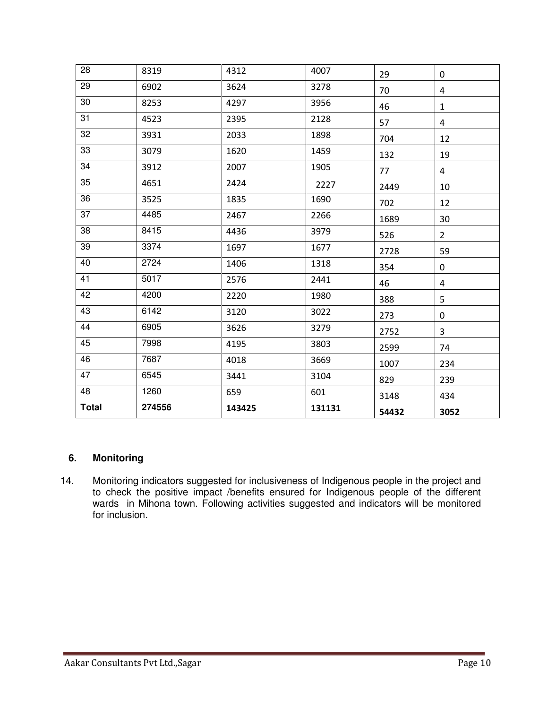| 28           | 8319   | 4312   | 4007   | 29    | 0              |
|--------------|--------|--------|--------|-------|----------------|
| 29           | 6902   | 3624   | 3278   | 70    | 4              |
| 30           | 8253   | 4297   | 3956   | 46    | $\mathbf{1}$   |
| 31           | 4523   | 2395   | 2128   | 57    | $\overline{4}$ |
| 32           | 3931   | 2033   | 1898   | 704   | 12             |
| 33           | 3079   | 1620   | 1459   | 132   | 19             |
| 34           | 3912   | 2007   | 1905   | 77    | $\overline{4}$ |
| 35           | 4651   | 2424   | 2227   | 2449  | 10             |
| 36           | 3525   | 1835   | 1690   | 702   | 12             |
| 37           | 4485   | 2467   | 2266   | 1689  | 30             |
| 38           | 8415   | 4436   | 3979   | 526   | $2^{\circ}$    |
| 39           | 3374   | 1697   | 1677   | 2728  | 59             |
| 40           | 2724   | 1406   | 1318   | 354   | $\mathbf 0$    |
| 41           | 5017   | 2576   | 2441   | 46    | $\overline{4}$ |
| 42           | 4200   | 2220   | 1980   | 388   | 5              |
| 43           | 6142   | 3120   | 3022   | 273   | 0              |
| 44           | 6905   | 3626   | 3279   | 2752  | 3              |
| 45           | 7998   | 4195   | 3803   | 2599  | 74             |
| 46           | 7687   | 4018   | 3669   | 1007  | 234            |
| 47           | 6545   | 3441   | 3104   | 829   | 239            |
| 48           | 1260   | 659    | 601    | 3148  | 434            |
| <b>Total</b> | 274556 | 143425 | 131131 | 54432 | 3052           |

#### **6. Monitoring**

14. Monitoring indicators suggested for inclusiveness of Indigenous people in the project and to check the positive impact /benefits ensured for Indigenous people of the different wards in Mihona town. Following activities suggested and indicators will be monitored for inclusion.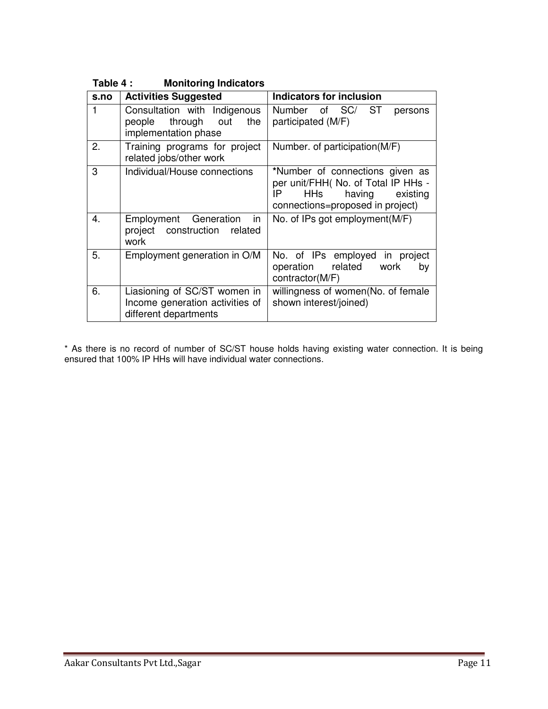| s.no | <b>Activities Suggested</b>                                                              | <b>Indicators for inclusion</b>                                                                                                         |
|------|------------------------------------------------------------------------------------------|-----------------------------------------------------------------------------------------------------------------------------------------|
| 1    | Consultation with Indigenous<br>through out<br>people<br>the<br>implementation phase     | ST<br>Number of SC/<br>persons<br>participated (M/F)                                                                                    |
| 2.   | Training programs for project<br>related jobs/other work                                 | Number. of participation(M/F)                                                                                                           |
| 3    | Individual/House connections                                                             | *Number of connections given as<br>per unit/FHH( No. of Total IP HHs -<br>HHs having existing<br>IP<br>connections=proposed in project) |
| 4.   | Employment Generation<br>in<br>project construction related<br>work                      | No. of IPs got employment (M/F)                                                                                                         |
| 5.   | Employment generation in O/M                                                             | No. of IPs employed in project<br>related work<br>operation<br>by<br>contractor(M/F)                                                    |
| 6.   | Liasioning of SC/ST women in<br>Income generation activities of<br>different departments | willingness of women(No. of female<br>shown interest/joined)                                                                            |

**Table 4 : Monitoring Indicators** 

\* As there is no record of number of SC/ST house holds having existing water connection. It is being ensured that 100% IP HHs will have individual water connections.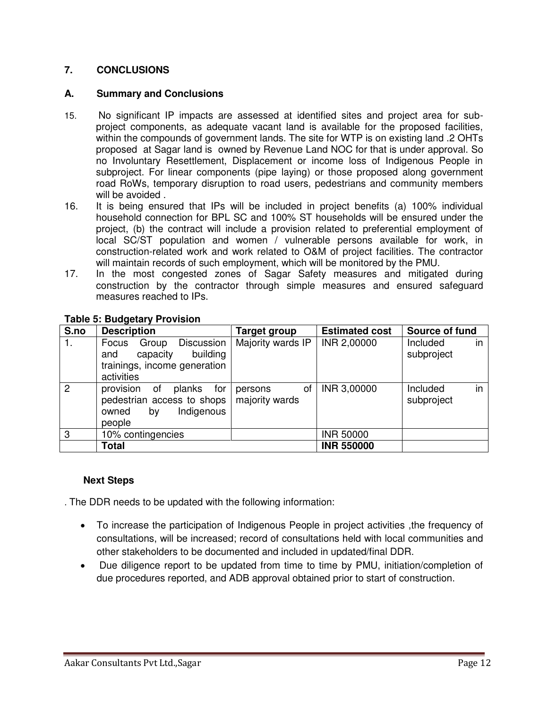#### **7. CONCLUSIONS**

#### **A. Summary and Conclusions**

- 15. No significant IP impacts are assessed at identified sites and project area for subproject components, as adequate vacant land is available for the proposed facilities, within the compounds of government lands. The site for WTP is on existing land .2 OHTs proposed at Sagar land is owned by Revenue Land NOC for that is under approval. So no Involuntary Resettlement, Displacement or income loss of Indigenous People in subproject. For linear components (pipe laying) or those proposed along government road RoWs, temporary disruption to road users, pedestrians and community members will be avoided.
- 16. It is being ensured that IPs will be included in project benefits (a) 100% individual household connection for BPL SC and 100% ST households will be ensured under the project, (b) the contract will include a provision related to preferential employment of local SC/ST population and women / vulnerable persons available for work, in construction-related work and work related to O&M of project facilities. The contractor will maintain records of such employment, which will be monitored by the PMU.
- 17. In the most congested zones of Sagar Safety measures and mitigated during construction by the contractor through simple measures and ensured safeguard measures reached to IPs.

| S.no           | <b>Description</b>                                                                                               | <b>Target group</b>             | <b>Estimated cost</b> | Source of fund               |
|----------------|------------------------------------------------------------------------------------------------------------------|---------------------------------|-----------------------|------------------------------|
| 1.             | <b>Discussion</b><br>Focus<br>Group<br>building<br>capacity<br>and<br>trainings, income generation<br>activities | Majority wards IP               | INR 2,00000           | Included<br>in<br>subproject |
| $\overline{2}$ | provision<br>for<br>οf<br>planks<br>pedestrian access to shops<br>Indigenous<br>owned<br>by<br>people            | οf<br>persons<br>majority wards | INR 3,00000           | in<br>Included<br>subproject |
| 3              | 10% contingencies                                                                                                |                                 | <b>INR 50000</b>      |                              |
|                | <b>Total</b>                                                                                                     |                                 | <b>INR 550000</b>     |                              |

#### **Table 5: Budgetary Provision**

#### **Next Steps**

. The DDR needs to be updated with the following information:

- To increase the participation of Indigenous People in project activities ,the frequency of consultations, will be increased; record of consultations held with local communities and other stakeholders to be documented and included in updated/final DDR.
- Due diligence report to be updated from time to time by PMU, initiation/completion of due procedures reported, and ADB approval obtained prior to start of construction.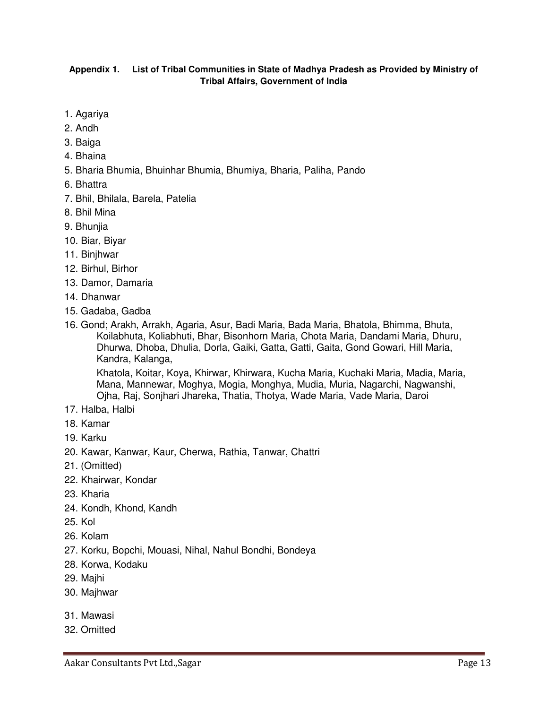#### **Appendix 1. List of Tribal Communities in State of Madhya Pradesh as Provided by Ministry of Tribal Affairs, Government of India**

- 1. Agariya
- 2. Andh
- 3. Baiga
- 4. Bhaina
- 5. Bharia Bhumia, Bhuinhar Bhumia, Bhumiya, Bharia, Paliha, Pando
- 6. Bhattra
- 7. Bhil, Bhilala, Barela, Patelia
- 8. Bhil Mina
- 9. Bhunjia
- 10. Biar, Biyar
- 11. Binjhwar
- 12. Birhul, Birhor
- 13. Damor, Damaria
- 14. Dhanwar
- 15. Gadaba, Gadba
- 16. Gond; Arakh, Arrakh, Agaria, Asur, Badi Maria, Bada Maria, Bhatola, Bhimma, Bhuta, Koilabhuta, Koliabhuti, Bhar, Bisonhorn Maria, Chota Maria, Dandami Maria, Dhuru, Dhurwa, Dhoba, Dhulia, Dorla, Gaiki, Gatta, Gatti, Gaita, Gond Gowari, Hill Maria, Kandra, Kalanga,

 Khatola, Koitar, Koya, Khirwar, Khirwara, Kucha Maria, Kuchaki Maria, Madia, Maria, Mana, Mannewar, Moghya, Mogia, Monghya, Mudia, Muria, Nagarchi, Nagwanshi, Ojha, Raj, Sonjhari Jhareka, Thatia, Thotya, Wade Maria, Vade Maria, Daroi

- 17. Halba, Halbi
- 18. Kamar
- 19. Karku
- 20. Kawar, Kanwar, Kaur, Cherwa, Rathia, Tanwar, Chattri
- 21. (Omitted)
- 22. Khairwar, Kondar
- 23. Kharia
- 24. Kondh, Khond, Kandh
- 25. Kol
- 26. Kolam
- 27. Korku, Bopchi, Mouasi, Nihal, Nahul Bondhi, Bondeya
- 28. Korwa, Kodaku
- 29. Majhi
- 30. Majhwar
- 31. Mawasi
- 32. Omitted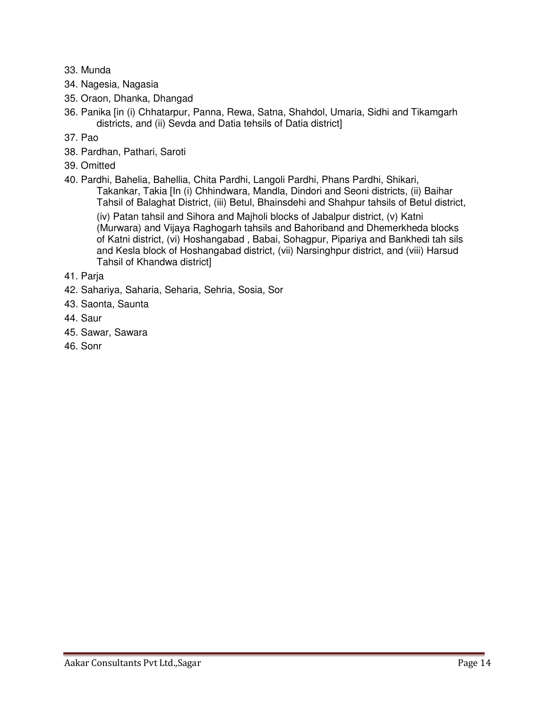- 33. Munda
- 34. Nagesia, Nagasia
- 35. Oraon, Dhanka, Dhangad
- 36. Panika [in (i) Chhatarpur, Panna, Rewa, Satna, Shahdol, Umaria, Sidhi and Tikamgarh districts, and (ii) Sevda and Datia tehsils of Datia district]
- 37. Pao
- 38. Pardhan, Pathari, Saroti
- 39. Omitted
- 40. Pardhi, Bahelia, Bahellia, Chita Pardhi, Langoli Pardhi, Phans Pardhi, Shikari,

 Takankar, Takia [In (i) Chhindwara, Mandla, Dindori and Seoni districts, (ii) Baihar Tahsil of Balaghat District, (iii) Betul, Bhainsdehi and Shahpur tahsils of Betul district,

 (iv) Patan tahsil and Sihora and Majholi blocks of Jabalpur district, (v) Katni (Murwara) and Vijaya Raghogarh tahsils and Bahoriband and Dhemerkheda blocks of Katni district, (vi) Hoshangabad , Babai, Sohagpur, Pipariya and Bankhedi tah sils and Kesla block of Hoshangabad district, (vii) Narsinghpur district, and (viii) Harsud Tahsil of Khandwa district]

- 41. Parja
- 42. Sahariya, Saharia, Seharia, Sehria, Sosia, Sor
- 43. Saonta, Saunta
- 44. Saur
- 45. Sawar, Sawara
- 46. Sonr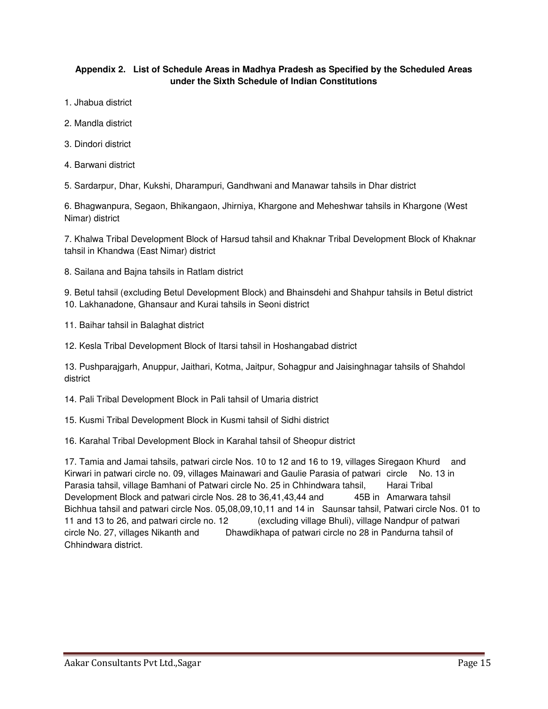#### **Appendix 2. List of Schedule Areas in Madhya Pradesh as Specified by the Scheduled Areas under the Sixth Schedule of Indian Constitutions**

- 1. Jhabua district
- 2. Mandla district
- 3. Dindori district
- 4. Barwani district
- 5. Sardarpur, Dhar, Kukshi, Dharampuri, Gandhwani and Manawar tahsils in Dhar district

6. Bhagwanpura, Segaon, Bhikangaon, Jhirniya, Khargone and Meheshwar tahsils in Khargone (West Nimar) district

7. Khalwa Tribal Development Block of Harsud tahsil and Khaknar Tribal Development Block of Khaknar tahsil in Khandwa (East Nimar) district

8. Sailana and Bajna tahsils in Ratlam district

9. Betul tahsil (excluding Betul Development Block) and Bhainsdehi and Shahpur tahsils in Betul district 10. Lakhanadone, Ghansaur and Kurai tahsils in Seoni district

- 11. Baihar tahsil in Balaghat district
- 12. Kesla Tribal Development Block of Itarsi tahsil in Hoshangabad district

13. Pushparajgarh, Anuppur, Jaithari, Kotma, Jaitpur, Sohagpur and Jaisinghnagar tahsils of Shahdol district

14. Pali Tribal Development Block in Pali tahsil of Umaria district

15. Kusmi Tribal Development Block in Kusmi tahsil of Sidhi district

16. Karahal Tribal Development Block in Karahal tahsil of Sheopur district

17. Tamia and Jamai tahsils, patwari circle Nos. 10 to 12 and 16 to 19, villages Siregaon Khurd and Kirwari in patwari circle no. 09, villages Mainawari and Gaulie Parasia of patwari circle No. 13 in Parasia tahsil, village Bamhani of Patwari circle No. 25 in Chhindwara tahsil, Harai Tribal Development Block and patwari circle Nos. 28 to 36,41,43,44 and 45B in Amarwara tahsil Bichhua tahsil and patwari circle Nos. 05,08,09,10,11 and 14 in Saunsar tahsil, Patwari circle Nos. 01 to 11 and 13 to 26, and patwari circle no. 12 (excluding village Bhuli), village Nandpur of patwari circle No. 27, villages Nikanth and Dhawdikhapa of patwari circle no 28 in Pandurna tahsil of Chhindwara district.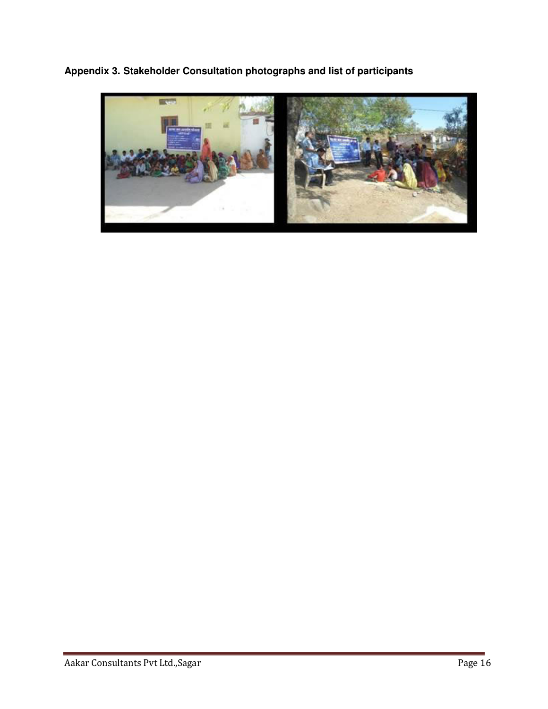**Appendix 3. Stakeholder Consultation photographs and list of participants** 

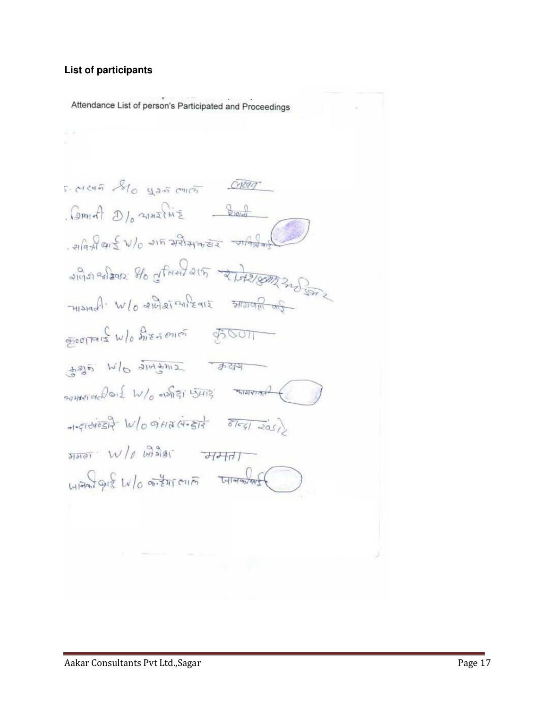#### **List of participants**

Attendance List of person's Participated and Proceedings 5. Mean Solo you and Creat  $Q_{\text{PPI}}$   $\theta$   $D_{\theta}$  2122  $H_{\text{E}}$   $\theta$  $-$  21921915  $\omega$ /0 215 21214952 21/92149  $2\pi\sqrt{3}$  $-m$ siadi  $w|_0$  alidationleare storage  $\frac{1}{\sin \theta \cos \theta}$   $\frac{1}{\sin \theta}$   $\frac{1}{\sin \theta}$   $\frac{1}{\sin \theta}$   $\frac{1}{\cos \theta}$  $\frac{1}{2}$  and  $\frac{1}{2}$  and  $\frac{1}{2}$  and  $\frac{1}{2}$  $-1-\xi\overrightarrow{1-\xi\overrightarrow{1-\xi\overrightarrow{1-\xi\overrightarrow{1-\xi\overrightarrow{1-\xi\overrightarrow{1-\xi\overrightarrow{1-\xi\overrightarrow{1-\xi\overrightarrow{1-\xi\overrightarrow{1-\xi\overrightarrow{1-\xi\overrightarrow{1-\xi\overrightarrow{1-\xi\overrightarrow{1-\xi\overrightarrow{1-\xi\overrightarrow{1-\xi\overrightarrow{1-\xi\overrightarrow{1-\xi\overrightarrow{1-\xi\overrightarrow{1-\xi\overrightarrow{1-\xi\overrightarrow{1-\xi\overrightarrow{1-\xi\overrightarrow{1-\xi\overrightarrow{1-\xi\overrightarrow{1-\xi\overrightarrow{1-\xi\overrightarrow{1-\xi\overrightarrow{1-\xi\overrightarrow{1-\xi\overrightarrow{1-\$  $\frac{1}{2}$  $4\sqrt{912}$   $10\sqrt{6}$   $\sqrt{241}$   $\sqrt{61}$   $\sqrt{41}$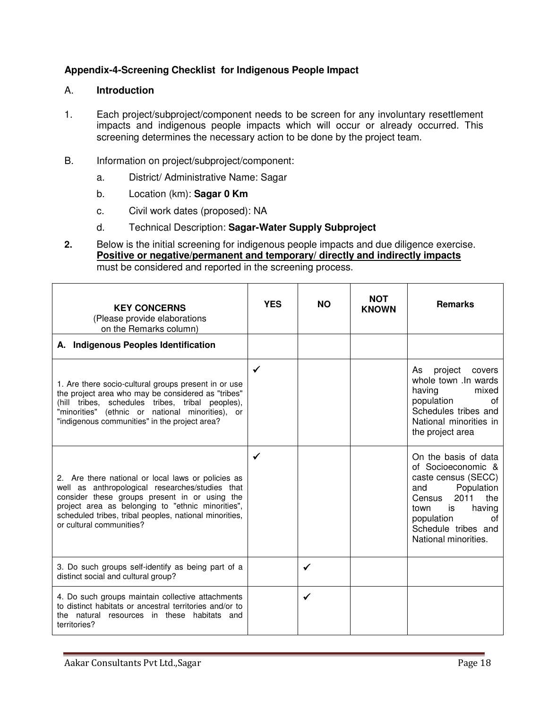#### **Appendix-4-Screening Checklist for Indigenous People Impact**

#### A. **Introduction**

- 1. Each project/subproject/component needs to be screen for any involuntary resettlement impacts and indigenous people impacts which will occur or already occurred. This screening determines the necessary action to be done by the project team.
- B. Information on project/subproject/component:
	- a. District/ Administrative Name: Sagar
	- b. Location (km): **Sagar 0 Km**
	- c. Civil work dates (proposed): NA
	- d. Technical Description: **Sagar-Water Supply Subproject**
- **2.** Below is the initial screening for indigenous people impacts and due diligence exercise. **Positive or negative/permanent and temporary/ directly and indirectly impacts** must be considered and reported in the screening process.

| <b>KEY CONCERNS</b><br>(Please provide elaborations<br>on the Remarks column)                                                                                                                                                                                                                     | <b>YES</b> | <b>NO</b>    | <b>NOT</b><br><b>KNOWN</b> | <b>Remarks</b>                                                                                                                                                                                             |
|---------------------------------------------------------------------------------------------------------------------------------------------------------------------------------------------------------------------------------------------------------------------------------------------------|------------|--------------|----------------------------|------------------------------------------------------------------------------------------------------------------------------------------------------------------------------------------------------------|
| A. Indigenous Peoples Identification                                                                                                                                                                                                                                                              |            |              |                            |                                                                                                                                                                                                            |
| 1. Are there socio-cultural groups present in or use<br>the project area who may be considered as "tribes"<br>(hill tribes, schedules tribes, tribal peoples),<br>"minorities" (ethnic or national minorities), or<br>"indigenous communities" in the project area?                               |            |              |                            | project<br>As<br>covers<br>whole town . In wards<br>having<br>mixed<br>population<br>0f<br>Schedules tribes and<br>National minorities in<br>the project area                                              |
| 2. Are there national or local laws or policies as<br>well as anthropological researches/studies that<br>consider these groups present in or using the<br>project area as belonging to "ethnic minorities",<br>scheduled tribes, tribal peoples, national minorities,<br>or cultural communities? | ✓          |              |                            | On the basis of data<br>of Socioeconomic &<br>caste census (SECC)<br>Population<br>and<br>the<br>2011<br>Census<br>having<br>is<br>town<br>population<br>Ωf<br>Schedule tribes and<br>National minorities. |
| 3. Do such groups self-identify as being part of a<br>distinct social and cultural group?                                                                                                                                                                                                         |            | ✓            |                            |                                                                                                                                                                                                            |
| 4. Do such groups maintain collective attachments<br>to distinct habitats or ancestral territories and/or to<br>the natural resources in these habitats and<br>territories?                                                                                                                       |            | $\checkmark$ |                            |                                                                                                                                                                                                            |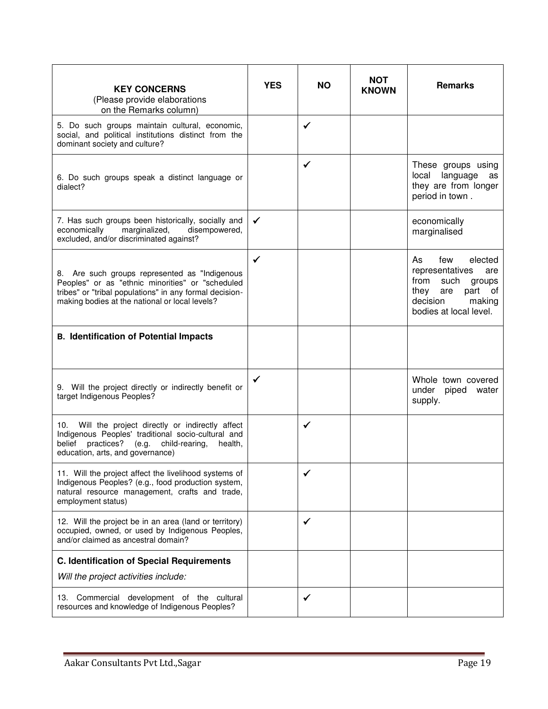| <b>KEY CONCERNS</b><br>(Please provide elaborations<br>on the Remarks column)                                                                                                                                  | <b>YES</b> | <b>NO</b>    | <b>NOT</b><br><b>KNOWN</b> | <b>Remarks</b>                                                                                                                                     |
|----------------------------------------------------------------------------------------------------------------------------------------------------------------------------------------------------------------|------------|--------------|----------------------------|----------------------------------------------------------------------------------------------------------------------------------------------------|
| 5. Do such groups maintain cultural, economic,<br>social, and political institutions distinct from the<br>dominant society and culture?                                                                        |            | ✓            |                            |                                                                                                                                                    |
| 6. Do such groups speak a distinct language or<br>dialect?                                                                                                                                                     |            | $\checkmark$ |                            | These groups using<br>local language<br>as<br>they are from longer<br>period in town.                                                              |
| 7. Has such groups been historically, socially and<br>disempowered,<br>economically<br>marginalized,<br>excluded, and/or discriminated against?                                                                | ✓          |              |                            | economically<br>marginalised                                                                                                                       |
| 8. Are such groups represented as "Indigenous<br>Peoples" or as "ethnic minorities" or "scheduled<br>tribes" or "tribal populations" in any formal decision-<br>making bodies at the national or local levels? | ✓          |              |                            | As<br>few<br>elected<br>representatives<br>are<br>from<br>such<br>groups<br>part of<br>they<br>are<br>decision<br>making<br>bodies at local level. |
| <b>B. Identification of Potential Impacts</b>                                                                                                                                                                  |            |              |                            |                                                                                                                                                    |
| 9. Will the project directly or indirectly benefit or<br>target Indigenous Peoples?                                                                                                                            | ✓          |              |                            | Whole town covered<br>under<br>piped water<br>supply.                                                                                              |
| 10. Will the project directly or indirectly affect<br>Indigenous Peoples' traditional socio-cultural and<br>belief practices? (e.g. child-rearing,<br>health,<br>education, arts, and governance)              |            | ✓            |                            |                                                                                                                                                    |
| 11. Will the project affect the livelihood systems of<br>Indigenous Peoples? (e.g., food production system,<br>natural resource management, crafts and trade,<br>employment status)                            |            |              |                            |                                                                                                                                                    |
| 12. Will the project be in an area (land or territory)<br>occupied, owned, or used by Indigenous Peoples,<br>and/or claimed as ancestral domain?                                                               |            | ✓            |                            |                                                                                                                                                    |
| <b>C. Identification of Special Requirements</b>                                                                                                                                                               |            |              |                            |                                                                                                                                                    |
| Will the project activities include:                                                                                                                                                                           |            |              |                            |                                                                                                                                                    |
| Commercial development of the cultural<br>13.<br>resources and knowledge of Indigenous Peoples?                                                                                                                |            | ✓            |                            |                                                                                                                                                    |